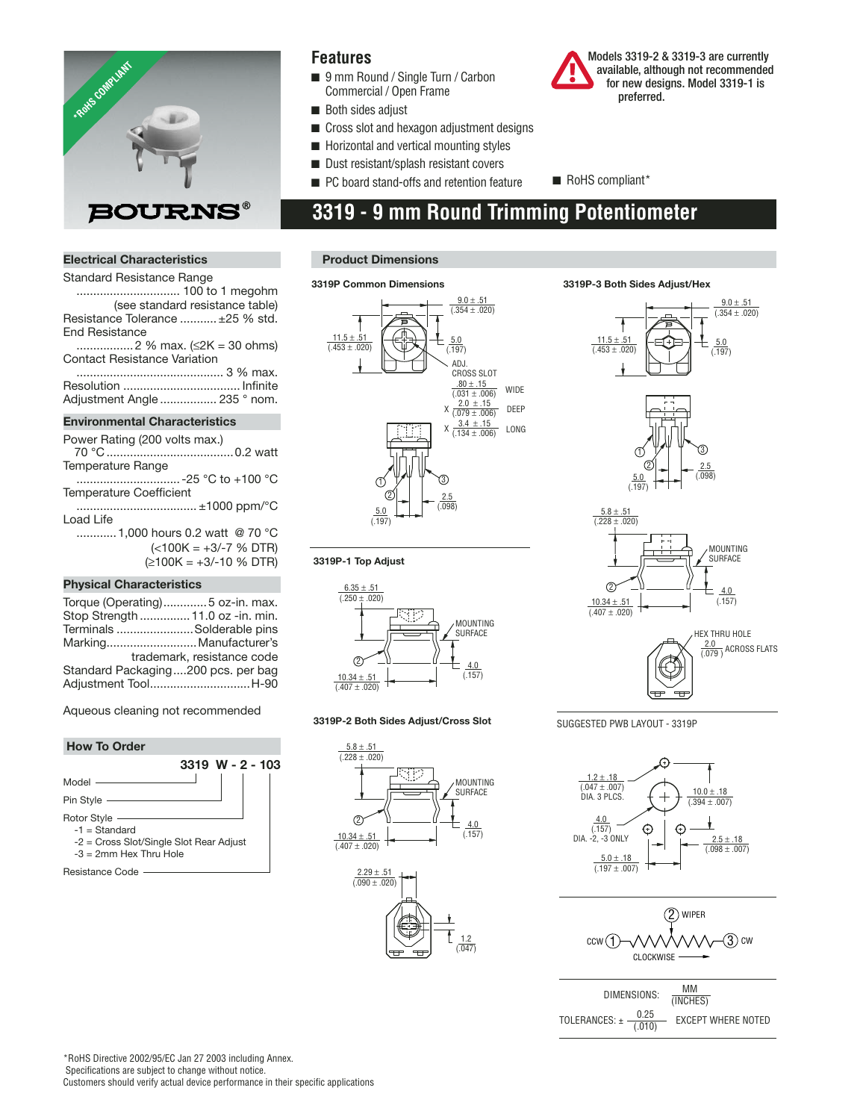

## **Features**

- 9 mm Round / Single Turn / Carbon Commercial / Open Frame
- Both sides adjust
- Cross slot and hexagon adjustment designs
- Horizontal and vertical mounting styles
- Dust resistant/splash resistant covers
- PC board stand-offs and retention feature RoHS compliant\*
- 

# **3319 - 9 mm Round Trimming Potentiometer**

## **Electrical Characteristics**

| Standard Resistance Range            |  |  |
|--------------------------------------|--|--|
|                                      |  |  |
| (see standard resistance table)      |  |  |
| Resistance Tolerance  ±25 % std.     |  |  |
| <b>End Resistance</b>                |  |  |
|                                      |  |  |
| Contact Resistance Variation         |  |  |
|                                      |  |  |
|                                      |  |  |
| Adjustment Angle  235 ° nom.         |  |  |
| <b>Environmental Characteristics</b> |  |  |

| Power Rating (200 volts max.) |            |
|-------------------------------|------------|
|                               |            |
| Temperature Range             |            |
|                               |            |
| Temperature Coefficient       |            |
|                               | $\sqrt{2}$ |

 .................................... ±1000 ppm/°C Load Life ............1,000 hours 0.2 watt @ 70 °C  $(<100K = +3/-7$  % DTR) (≥100K = +3/-10 % DTR)

## **Physical Characteristics**

| Torque (Operating)5 oz-in. max.    |                            |
|------------------------------------|----------------------------|
| Stop Strength  11.0 oz -in. min.   |                            |
| Terminals Solderable pins          |                            |
| MarkingManufacturer's              |                            |
|                                    | trademark, resistance code |
| Standard Packaging200 pcs. per bag |                            |
| Adjustment ToolH-90                |                            |
|                                    |                            |

Aqueous cleaning not recommended

## **How To Order 3319 W - 2 - 103** Model Pin Style Rotor Style  $-1 =$ Standard -2 = Cross Slot/Single Slot Rear Adjust -3 = 2mm Hex Thru Hole

Resistance Code

## **Product Dimensions**

 $6.35 + .51$  $(0.250 \pm 0.020)$ 

**3319P-1 Top Adjust**

 $10.34 +$  $(0.407 \pm 0.020)$ 

 $^{\circledR}$ 

 $5.8 \pm .51$  $(0.228 \pm 0.020)$ 

 $10.34 \pm .51$  $\frac{1}{(0.407 \pm 0.020)}$ 

 $^{\circledR}$ 

**3319P-2 Both Sides Adjust/Cross Slot**

 $\frac{2.29 \pm .51}{(.090 \pm .020)}$ 



4.0  $(157)$ 

1.2  $(0.047)$ 

4.0 (.157)

MOUNTING SURFACE

MOUNTING SURFACE

# **3319P-3 Both Sides Adjust/Hex**

preferred.

 Models 3319-2 & 3319-3 are currently available, although not recommended for new designs. Model 3319-1 is

 $9.0 \pm .51$ 



SUGGESTED PWB LAYOUT - 3319P





| DIMENSIONS:                      | MМ<br>(INCHES)            |
|----------------------------------|---------------------------|
| 0.25<br>TOLERANCES: ±<br>(0.010) | <b>EXCEPT WHERE NOTED</b> |

\*RoHS Directive 2002/95/EC Jan 27 2003 including Annex. Specifications are subject to change without notice. Customers should verify actual device performance in their specific applications